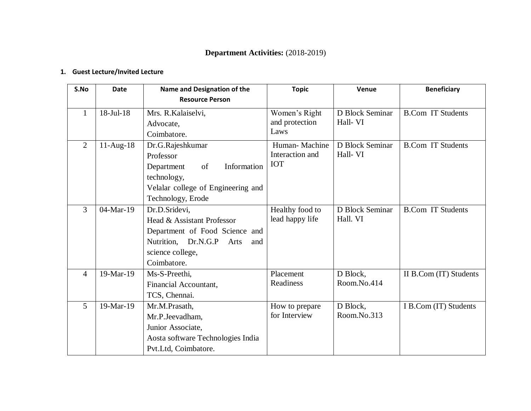# **Department Activities:** (2018-2019)

## **1. Guest Lecture/Invited Lecture**

| S.No           | <b>Date</b> | Name and Designation of the        | <b>Topic</b>    | Venue           | <b>Beneficiary</b>       |
|----------------|-------------|------------------------------------|-----------------|-----------------|--------------------------|
|                |             | <b>Resource Person</b>             |                 |                 |                          |
| $\mathbf{1}$   | 18-Jul-18   | Mrs. R. Kalaiselvi,                | Women's Right   | D Block Seminar | <b>B.Com IT Students</b> |
|                |             | Advocate,                          | and protection  | Hall-VI         |                          |
|                |             | Coimbatore.                        | Laws            |                 |                          |
| $\overline{2}$ | $11-Aug-18$ | Dr.G.Rajeshkumar                   | Human-Machine   | D Block Seminar | <b>B.Com IT Students</b> |
|                |             | Professor                          | Interaction and | Hall-VI         |                          |
|                |             | Information<br>Department<br>of    | <b>IOT</b>      |                 |                          |
|                |             | technology,                        |                 |                 |                          |
|                |             | Velalar college of Engineering and |                 |                 |                          |
|                |             | Technology, Erode                  |                 |                 |                          |
| 3              | 04-Mar-19   | Dr.D.Sridevi,                      | Healthy food to | D Block Seminar | <b>B.Com IT Students</b> |
|                |             | Head & Assistant Professor         | lead happy life | Hall. VI        |                          |
|                |             | Department of Food Science and     |                 |                 |                          |
|                |             | Nutrition, Dr.N.G.P<br>Arts<br>and |                 |                 |                          |
|                |             | science college,                   |                 |                 |                          |
|                |             | Coimbatore.                        |                 |                 |                          |
| $\overline{4}$ | 19-Mar-19   | Ms-S-Preethi,                      | Placement       | D Block,        | II B.Com (IT) Students   |
|                |             | Financial Accountant,              | Readiness       | Room.No.414     |                          |
|                |             | TCS, Chennai.                      |                 |                 |                          |
| $\overline{5}$ | 19-Mar-19   | Mr.M.Prasath,                      | How to prepare  | D Block,        | I B.Com (IT) Students    |
|                |             | Mr.P.Jeevadham,                    | for Interview   | Room.No.313     |                          |
|                |             | Junior Associate,                  |                 |                 |                          |
|                |             | Aosta software Technologies India  |                 |                 |                          |
|                |             | Pvt.Ltd, Coimbatore.               |                 |                 |                          |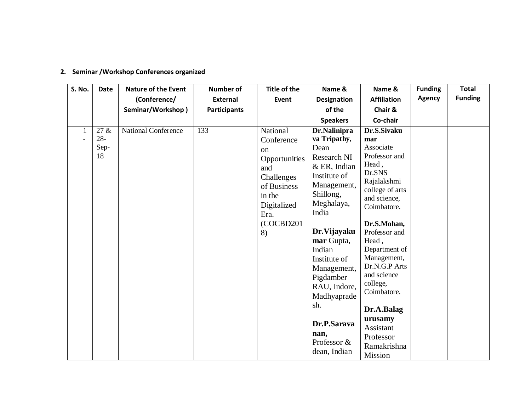| <b>S. No.</b> | <b>Date</b>                  | <b>Nature of the Event</b><br>(Conference/<br>Seminar/Workshop) | <b>Number of</b><br><b>External</b><br><b>Participants</b> | Title of the<br>Event                                                                                                                 | Name &<br><b>Designation</b><br>of the<br><b>Speakers</b>                                                                                                                                                                                                                                                                | Name &<br><b>Affiliation</b><br>Chair &<br>Co-chair                                                                                                                                                                                                                                                                                                   | <b>Funding</b><br><b>Agency</b> | <b>Total</b><br><b>Funding</b> |
|---------------|------------------------------|-----------------------------------------------------------------|------------------------------------------------------------|---------------------------------------------------------------------------------------------------------------------------------------|--------------------------------------------------------------------------------------------------------------------------------------------------------------------------------------------------------------------------------------------------------------------------------------------------------------------------|-------------------------------------------------------------------------------------------------------------------------------------------------------------------------------------------------------------------------------------------------------------------------------------------------------------------------------------------------------|---------------------------------|--------------------------------|
|               | 27 &<br>$28 -$<br>Sep-<br>18 | <b>National Conference</b>                                      | 133                                                        | National<br>Conference<br>on<br>Opportunities<br>and<br>Challenges<br>of Business<br>in the<br>Digitalized<br>Era.<br>(COCBD201<br>8) | Dr.Nalinipra<br>va Tripathy,<br>Dean<br>Research NI<br>$&$ ER, Indian<br>Institute of<br>Management,<br>Shillong,<br>Meghalaya,<br>India<br>Dr. Vijayaku<br>mar Gupta,<br>Indian<br>Institute of<br>Management,<br>Pigdamber<br>RAU, Indore,<br>Madhyaprade<br>sh.<br>Dr.P.Sarava<br>nan,<br>Professor &<br>dean, Indian | Dr.S.Sivaku<br>mar<br>Associate<br>Professor and<br>Head,<br>Dr.SNS<br>Rajalakshmi<br>college of arts<br>and science,<br>Coimbatore.<br>Dr.S.Mohan,<br>Professor and<br>Head,<br>Department of<br>Management,<br>Dr.N.G.P Arts<br>and science<br>college,<br>Coimbatore.<br>Dr.A.Balag<br>urusamy<br>Assistant<br>Professor<br>Ramakrishna<br>Mission |                                 |                                |

# **2. Seminar /Workshop Conferences organized**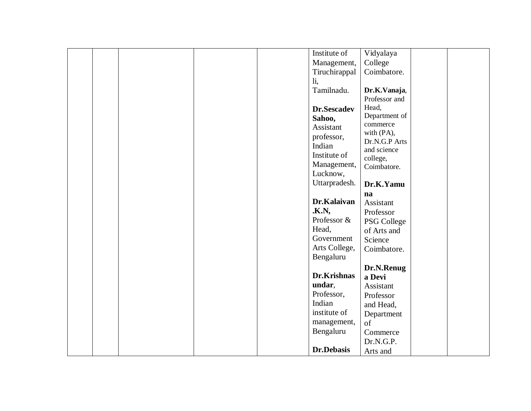|  |  | Institute of            | Vidyalaya     |  |
|--|--|-------------------------|---------------|--|
|  |  | Management,             | College       |  |
|  |  | Tiruchirappal           | Coimbatore.   |  |
|  |  | $\overline{\mathbf{h}}$ |               |  |
|  |  | Tamilnadu.              | Dr.K.Vanaja,  |  |
|  |  |                         | Professor and |  |
|  |  | Dr.Sescadev             | Head,         |  |
|  |  | Sahoo,                  | Department of |  |
|  |  | Assistant               | commerce      |  |
|  |  | professor,              | with (PA),    |  |
|  |  | Indian                  | Dr.N.G.P Arts |  |
|  |  | Institute of            | and science   |  |
|  |  | Management,             | college,      |  |
|  |  | Lucknow,                | Coimbatore.   |  |
|  |  |                         |               |  |
|  |  | Uttarpradesh.           | Dr.K.Yamu     |  |
|  |  |                         | na            |  |
|  |  | Dr.Kalaivan             | Assistant     |  |
|  |  | <b>.K.N,</b>            | Professor     |  |
|  |  | Professor &             | PSG College   |  |
|  |  | Head,                   | of Arts and   |  |
|  |  | Government              | Science       |  |
|  |  | Arts College,           | Coimbatore.   |  |
|  |  | Bengaluru               |               |  |
|  |  |                         | Dr.N.Renug    |  |
|  |  | Dr.Krishnas             | a Devi        |  |
|  |  | undar,                  | Assistant     |  |
|  |  | Professor,              | Professor     |  |
|  |  | Indian                  | and Head,     |  |
|  |  | institute of            | Department    |  |
|  |  | management,             | of            |  |
|  |  | Bengaluru               | Commerce      |  |
|  |  |                         | Dr.N.G.P.     |  |
|  |  | Dr.Debasis              |               |  |
|  |  |                         | Arts and      |  |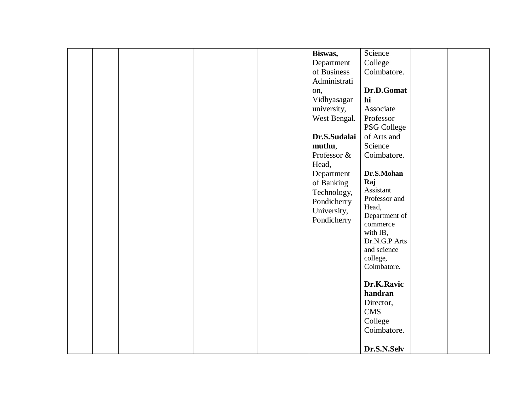|  | Biswas,<br>Department<br>of Business<br>Administrati<br>on,<br>Vidhyasagar<br>university,<br>West Bengal.<br>Dr.S.Sudalai<br>muthu,<br>Professor &<br>Head,<br>Department<br>of Banking<br>Technology,<br>Pondicherry<br>University,<br>Pondicherry | Science<br>College<br>Coimbatore.<br>Dr.D.Gomat<br>hi<br>Associate<br>Professor<br>PSG College<br>of Arts and<br>Science<br>Coimbatore.<br>Dr.S.Mohan<br>Raj<br>Assistant<br>Professor and<br>Head,<br>Department of<br>commerce<br>with IB,<br>Dr.N.G.P Arts<br>and science<br>college,<br>Coimbatore.<br>Dr.K.Ravic<br>handran<br>Director,<br><b>CMS</b><br>College<br>Coimbatore.<br>Dr.S.N.Selv |
|--|-----------------------------------------------------------------------------------------------------------------------------------------------------------------------------------------------------------------------------------------------------|------------------------------------------------------------------------------------------------------------------------------------------------------------------------------------------------------------------------------------------------------------------------------------------------------------------------------------------------------------------------------------------------------|
|--|-----------------------------------------------------------------------------------------------------------------------------------------------------------------------------------------------------------------------------------------------------|------------------------------------------------------------------------------------------------------------------------------------------------------------------------------------------------------------------------------------------------------------------------------------------------------------------------------------------------------------------------------------------------------|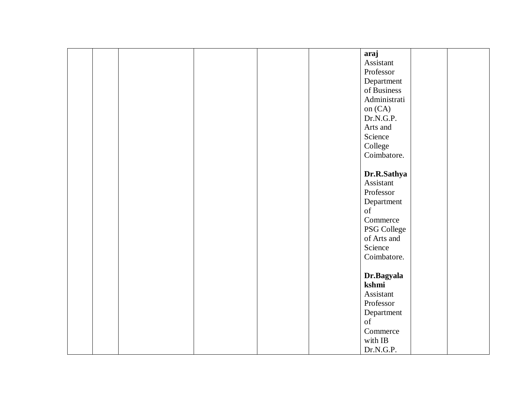|  |  |  | araj         |  |
|--|--|--|--------------|--|
|  |  |  | Assistant    |  |
|  |  |  | Professor    |  |
|  |  |  | Department   |  |
|  |  |  | of Business  |  |
|  |  |  | Administrati |  |
|  |  |  | on (CA)      |  |
|  |  |  | Dr.N.G.P.    |  |
|  |  |  | Arts and     |  |
|  |  |  | Science      |  |
|  |  |  | College      |  |
|  |  |  |              |  |
|  |  |  | Coimbatore.  |  |
|  |  |  |              |  |
|  |  |  | Dr.R.Sathya  |  |
|  |  |  | Assistant    |  |
|  |  |  | Professor    |  |
|  |  |  | Department   |  |
|  |  |  | of           |  |
|  |  |  | Commerce     |  |
|  |  |  | PSG College  |  |
|  |  |  | of Arts and  |  |
|  |  |  | Science      |  |
|  |  |  | Coimbatore.  |  |
|  |  |  |              |  |
|  |  |  | Dr.Bagyala   |  |
|  |  |  | kshmi        |  |
|  |  |  | Assistant    |  |
|  |  |  | Professor    |  |
|  |  |  | Department   |  |
|  |  |  | of           |  |
|  |  |  | Commerce     |  |
|  |  |  | with IB      |  |
|  |  |  |              |  |
|  |  |  | Dr.N.G.P.    |  |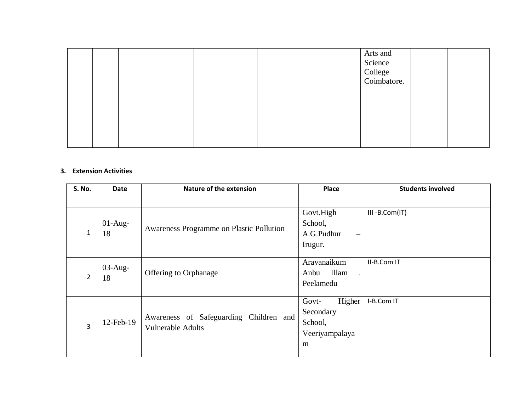|  |  |  | Arts and<br>Science<br>College<br>Coimbatore. |  |
|--|--|--|-----------------------------------------------|--|
|  |  |  |                                               |  |
|  |  |  |                                               |  |

#### **3. Extension Activities**

| <b>S. No.</b> | Date       | <b>Nature of the extension</b>           | Place                    | <b>Students involved</b> |
|---------------|------------|------------------------------------------|--------------------------|--------------------------|
|               |            |                                          |                          |                          |
|               |            |                                          | Govt.High                | III-B.Com(IT)            |
|               | $01-Aug-$  | Awareness Programme on Plastic Pollution | School,                  |                          |
| 1             | 18         |                                          | A.G.Pudhur               |                          |
|               |            |                                          | Irugur.                  |                          |
|               |            |                                          |                          |                          |
|               | $03$ -Aug- |                                          | Aravanaikum              | II-B.Com IT              |
| 2             | 18         | Offering to Orphanage                    | Illam<br>Anbu<br>$\cdot$ |                          |
|               |            |                                          | Peelamedu                |                          |
|               |            |                                          |                          |                          |
|               |            |                                          | Higher<br>Govt-          | I-B.Com IT               |
|               |            | Awareness of Safeguarding Children and   | Secondary                |                          |
| 3             | 12-Feb-19  | <b>Vulnerable Adults</b>                 | School,                  |                          |
|               |            |                                          | Veeriyampalaya           |                          |
|               |            |                                          | m                        |                          |
|               |            |                                          |                          |                          |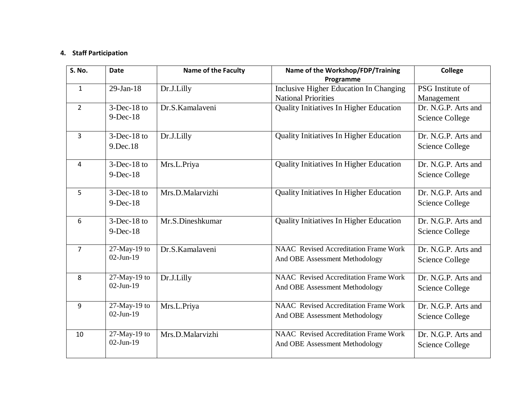### **4. Staff Participation**

| S. No.         | <b>Date</b>     | <b>Name of the Faculty</b> | Name of the Workshop/FDP/Training              | <b>College</b>         |
|----------------|-----------------|----------------------------|------------------------------------------------|------------------------|
|                |                 |                            | Programme                                      |                        |
| $\mathbf{1}$   | $29$ -Jan-18    | Dr.J.Lilly                 | Inclusive Higher Education In Changing         | PSG Institute of       |
|                |                 |                            | <b>National Priorities</b>                     | Management             |
| $\overline{2}$ | $3$ -Dec-18 to  | Dr.S.Kamalaveni            | Quality Initiatives In Higher Education        | Dr. N.G.P. Arts and    |
|                | $9-Dec-18$      |                            |                                                | <b>Science College</b> |
| 3              | $3$ -Dec-18 to  | Dr.J.Lilly                 | Quality Initiatives In Higher Education        | Dr. N.G.P. Arts and    |
|                | 9.Dec.18        |                            |                                                | Science College        |
| 4              | $3$ -Dec-18 to  | Mrs.L.Priya                | <b>Quality Initiatives In Higher Education</b> | Dr. N.G.P. Arts and    |
|                | $9-Dec-18$      |                            |                                                | <b>Science College</b> |
| 5              | $3$ -Dec-18 to  | Mrs.D.Malarvizhi           | Quality Initiatives In Higher Education        | Dr. N.G.P. Arts and    |
|                | $9$ -Dec-18     |                            |                                                | <b>Science College</b> |
|                |                 |                            |                                                |                        |
| 6              | $3$ -Dec-18 to  | Mr.S.Dineshkumar           | <b>Quality Initiatives In Higher Education</b> | Dr. N.G.P. Arts and    |
|                | $9$ -Dec-18     |                            |                                                | <b>Science College</b> |
| $\overline{7}$ | $27$ -May-19 to | Dr.S.Kamalaveni            | <b>NAAC</b> Revised Accreditation Frame Work   | Dr. N.G.P. Arts and    |
|                | $02$ -Jun-19    |                            | And OBE Assessment Methodology                 | <b>Science College</b> |
| 8              | $27$ -May-19 to | Dr.J.Lilly                 | <b>NAAC</b> Revised Accreditation Frame Work   | Dr. N.G.P. Arts and    |
|                | $02$ -Jun-19    |                            | And OBE Assessment Methodology                 | <b>Science College</b> |
| 9              | $27$ -May-19 to | Mrs.L.Priya                | <b>NAAC</b> Revised Accreditation Frame Work   | Dr. N.G.P. Arts and    |
|                | $02$ -Jun-19    |                            | And OBE Assessment Methodology                 | Science College        |
|                |                 |                            |                                                |                        |
| 10             | $27$ -May-19 to | Mrs.D.Malarvizhi           | <b>NAAC</b> Revised Accreditation Frame Work   | Dr. N.G.P. Arts and    |
|                | $02-Jun-19$     |                            | And OBE Assessment Methodology                 | <b>Science College</b> |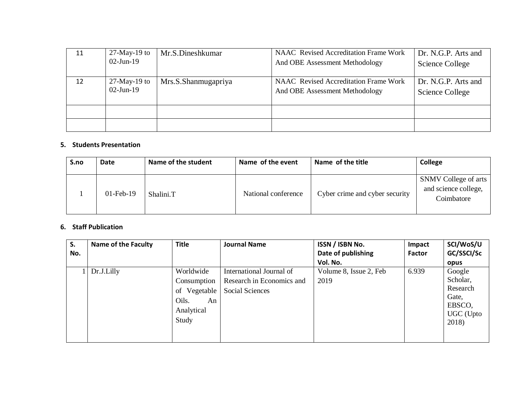| 11 | $27$ -May-19 to<br>$02$ -Jun-19 | Mr.S.Dineshkumar    | NAAC Revised Accreditation Frame Work<br>And OBE Assessment Methodology | Dr. N.G.P. Arts and<br>Science College |
|----|---------------------------------|---------------------|-------------------------------------------------------------------------|----------------------------------------|
| 12 | $27$ -May-19 to<br>$02$ -Jun-19 | Mrs.S.Shanmugapriya | NAAC Revised Accreditation Frame Work<br>And OBE Assessment Methodology | Dr. N.G.P. Arts and<br>Science College |
|    |                                 |                     |                                                                         |                                        |
|    |                                 |                     |                                                                         |                                        |

#### **5. Students Presentation**

| S.no | <b>Date</b>  | Name of the student | Name of the event   | Name of the title              | <b>College</b>                                             |
|------|--------------|---------------------|---------------------|--------------------------------|------------------------------------------------------------|
|      | $01$ -Feb-19 | Shalini.T           | National conference | Cyber crime and cyber security | SNMV College of arts<br>and science college,<br>Coimbatore |

#### **6. Staff Publication**

| S.  | <b>Name of the Faculty</b> | <b>Title</b> | <b>Journal Name</b>       | ISSN / ISBN No.        | Impact        | SCI/WoS/U  |
|-----|----------------------------|--------------|---------------------------|------------------------|---------------|------------|
| No. |                            |              |                           | Date of publishing     | <b>Factor</b> | GC/SSCI/Sc |
|     |                            |              |                           | Vol. No.               |               | opus       |
|     | Dr.J.Lilly                 | Worldwide    | International Journal of  | Volume 8, Issue 2, Feb | 6.939         | Google     |
|     |                            | Consumption  | Research in Economics and | 2019                   |               | Scholar,   |
|     |                            | of Vegetable | Social Sciences           |                        |               | Research   |
|     |                            | Oils.<br>An  |                           |                        |               | Gate.      |
|     |                            | Analytical   |                           |                        |               | EBSCO,     |
|     |                            |              |                           |                        |               | UGC (Upto  |
|     |                            | Study        |                           |                        |               | 2018)      |
|     |                            |              |                           |                        |               |            |
|     |                            |              |                           |                        |               |            |